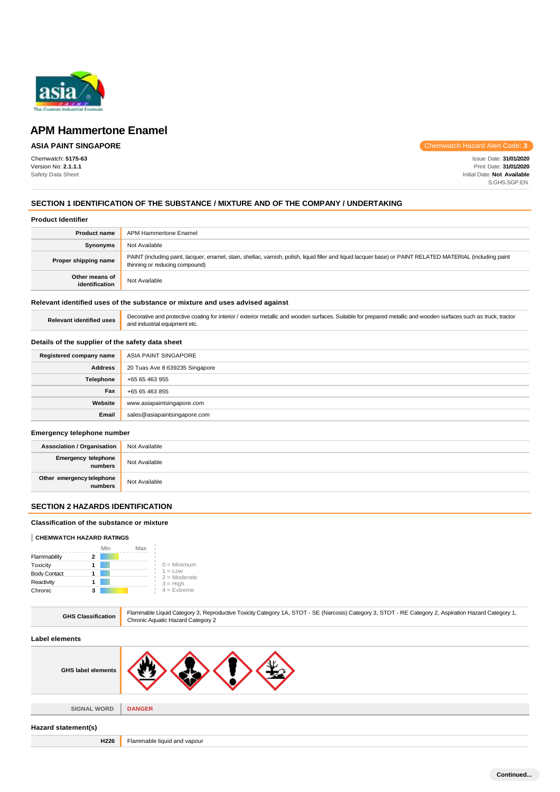

# **ASIA PAINT SINGAPORE**

Chemwatch: **5175-63** Version No: **2.1.1.1** Safety Data Sheet

Chemwatch Hazard Alert Code: **3**

Issue Date: **31/01/2020** Print Date: **31/01/2020** Initial Date: **Not Available** S.GHS.SGP.EN

# **SECTION 1 IDENTIFICATION OF THE SUBSTANCE / MIXTURE AND OF THE COMPANY / UNDERTAKING**

#### **Product Identifier**

| <b>Product name</b>              | APM Hammertone Enamel                                                                                                                                                                         |
|----------------------------------|-----------------------------------------------------------------------------------------------------------------------------------------------------------------------------------------------|
| Synonyms                         | Not Available                                                                                                                                                                                 |
| Proper shipping name             | PAINT (including paint, lacquer, enamel, stain, shellac, varnish, polish, liquid filler and liquid lacquer base) or PAINT RELATED MATERIAL (including paint<br>thinning or reducing compound) |
| Other means of<br>identification | Not Available                                                                                                                                                                                 |

#### **Relevant identified uses of the substance or mixture and uses advised against**

Relevant identified uses **Decorative and protective coating for interior** / exterior metallic and wooden surfaces. Suitable for prepared metallic and wooden surfaces such as truck, tractor and industrial equipment etc.

#### **Details of the supplier of the safety data sheet**

| Registered company name | ASIA PAINT SINGAPORE           |
|-------------------------|--------------------------------|
| <b>Address</b>          | 20 Tuas Ave 8 639235 Singapore |
| Telephone               | +65 65 463 955                 |
| Fax                     | +65 65 463 855                 |
| Website                 | www.asiapaintsingapore.com     |
| Email                   | sales@asiapaintsingapore.com   |

#### **Emergency telephone number**

| <b>Association / Organisation</b>    | Not Available |
|--------------------------------------|---------------|
| Emergency telephone<br>numbers       | Not Available |
| Other emergency telephone<br>numbers | Not Available |

### **SECTION 2 HAZARDS IDENTIFICATION**

#### **Classification of the substance or mixture**

#### **CHEMWATCH HAZARD RATINGS**

|                     | Min | Max |                             |
|---------------------|-----|-----|-----------------------------|
| Flammability        |     |     |                             |
| Toxicity            |     |     | $0 =$ Minimum               |
| <b>Body Contact</b> |     |     | $1 = Low$<br>$2 =$ Moderate |
| Reactivity          |     |     | $3 = High$                  |
| Chronic             |     |     | $4$ = Extreme               |

| Flammable Liquid Category 3, Reproductive Toxicity Category 1A, STOT - SE (Narcosis) Category 3, STOT - RE Category 2, Aspiration Hazard Category 1,<br>Chronic Aquatic Hazard Category 2 |
|-------------------------------------------------------------------------------------------------------------------------------------------------------------------------------------------|
|                                                                                                                                                                                           |
|                                                                                                                                                                                           |
| <b>DANGER</b>                                                                                                                                                                             |
|                                                                                                                                                                                           |
| Flammable liquid and vapour                                                                                                                                                               |
|                                                                                                                                                                                           |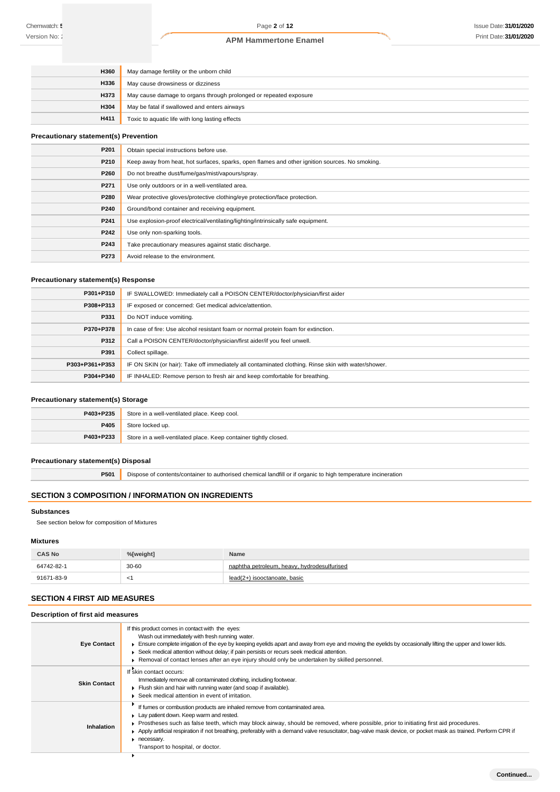| H360 | May damage fertility or the unborn child                          |
|------|-------------------------------------------------------------------|
| H336 | May cause drowsiness or dizziness                                 |
| H373 | May cause damage to organs through prolonged or repeated exposure |
| H304 | May be fatal if swallowed and enters airways                      |
| H411 | Toxic to aquatic life with long lasting effects                   |

#### **Precautionary statement(s) Prevention**

| P201 | Obtain special instructions before use.                                                        |
|------|------------------------------------------------------------------------------------------------|
| P210 | Keep away from heat, hot surfaces, sparks, open flames and other ignition sources. No smoking. |
| P260 | Do not breathe dust/fume/gas/mist/vapours/spray.                                               |
| P271 | Use only outdoors or in a well-ventilated area.                                                |
| P280 | Wear protective gloves/protective clothing/eye protection/face protection.                     |
| P240 | Ground/bond container and receiving equipment.                                                 |
| P241 | Use explosion-proof electrical/ventilating/lighting/intrinsically safe equipment.              |
| P242 | Use only non-sparking tools.                                                                   |
| P243 | Take precautionary measures against static discharge.                                          |
| P273 | Avoid release to the environment.                                                              |

#### **Precautionary statement(s) Response**

| P301+P310      | IF SWALLOWED: Immediately call a POISON CENTER/doctor/physician/first aider                         |  |
|----------------|-----------------------------------------------------------------------------------------------------|--|
| P308+P313      | IF exposed or concerned: Get medical advice/attention.                                              |  |
| P331           | Do NOT induce vomiting.                                                                             |  |
| P370+P378      | In case of fire: Use alcohol resistant foam or normal protein foam for extinction.                  |  |
| P312           | Call a POISON CENTER/doctor/physician/first aider/if you feel unwell.                               |  |
| P391           | Collect spillage.                                                                                   |  |
| P303+P361+P353 | IF ON SKIN (or hair): Take off immediately all contaminated clothing. Rinse skin with water/shower. |  |
| P304+P340      | IF INHALED: Remove person to fresh air and keep comfortable for breathing.                          |  |

# **Precautionary statement(s) Storage**

| P403+P235 | Store in a well-ventilated place. Keep cool.                     |
|-----------|------------------------------------------------------------------|
| P405      | Store locked up.                                                 |
| P403+P233 | Store in a well-ventilated place. Keep container tightly closed. |

### **Precautionary statement(s) Disposal**

**P501** Dispose of contents/container to authorised chemical landfill or if organic to high temperature incineration

# **SECTION 3 COMPOSITION / INFORMATION ON INGREDIENTS**

#### **Substances**

See section below for composition of Mixtures

#### **Mixtures**

| <b>CAS No</b> | %[weight] | <b>Name</b>                                 |
|---------------|-----------|---------------------------------------------|
| 64742-82-1    | 30-60     | naphtha petroleum, heavy, hydrodesulfurised |
| 91671-83-9    | ``        | lead(2+) isooctanoate, basic                |

# **SECTION 4 FIRST AID MEASURES**

# **Description of first aid measures**

| <b>Eye Contact</b>  | If this product comes in contact with the eyes:<br>Wash out immediately with fresh running water.<br>Ensure complete irrigation of the eye by keeping eyelids apart and away from eye and moving the eyelids by occasionally lifting the upper and lower lids.<br>► Seek medical attention without delay; if pain persists or recurs seek medical attention.<br>▶ Removal of contact lenses after an eye injury should only be undertaken by skilled personnel.                  |
|---------------------|----------------------------------------------------------------------------------------------------------------------------------------------------------------------------------------------------------------------------------------------------------------------------------------------------------------------------------------------------------------------------------------------------------------------------------------------------------------------------------|
| <b>Skin Contact</b> | If skin contact occurs:<br>Immediately remove all contaminated clothing, including footwear.<br>Flush skin and hair with running water (and soap if available).<br>Seek medical attention in event of irritation.                                                                                                                                                                                                                                                                |
| Inhalation          | If fumes or combustion products are inhaled remove from contaminated area.<br>Lay patient down. Keep warm and rested.<br>Prostheses such as false teeth, which may block airway, should be removed, where possible, prior to initiating first aid procedures.<br>Apply artificial respiration if not breathing, preferably with a demand valve resuscitator, bag-valve mask device, or pocket mask as trained. Perform CPR if<br>necessary.<br>Transport to hospital, or doctor. |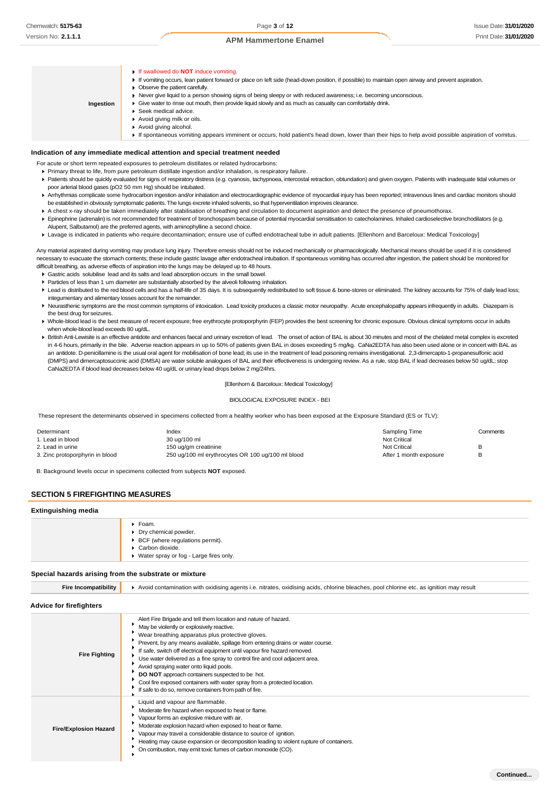- **Indication of any immediate medical attention and special treatment needed** For acute or short term repeated exposures to petroleum distillates or related hydrocarbons: Primary threat to life, from pure petroleum distillate ingestion and/or inhalation, is respiratory failure. Patients should be quickly evaluated for signs of respiratory distress (e.g. cyanosis, tachypnoea, intercostal retraction, obtundation) and given oxygen. Patients with inadequate tidal volumes or If swallowed do **NOT** induce vomiting. If vomiting occurs, lean patient forward or place on left side (head-down position, if possible) to maintain open airway and prevent aspiration. **Deserve the patient carefully.** Never give liquid to a person showing signs of being sleepy or with reduced awareness; i.e. becoming unconscious. Give water to rinse out mouth, then provide liquid slowly and as much as casualty can comfortably drink. ▶ Seek medical advice. Avoid giving milk or oils. Avoid giving alcohol. If spontaneous vomiting appears imminent or occurs, hold patient's head down, lower than their hips to help avoid possible aspiration of vomitus. **Ingestion**
	- poor arterial blood gases (pO2 50 mm Hg) should be intubated. ▶ Arrhythmias complicate some hydrocarbon ingestion and/or inhalation and electrocardiographic evidence of myocardial injury has been reported; intravenous lines and cardiac monitors should
	- be established in obviously symptomatic patients. The lungs excrete inhaled solvents, so that hyperventilation improves clearance.
	- A chest x-ray should be taken immediately after stabilisation of breathing and circulation to document aspiration and detect the presence of pneumothorax. Epinephrine (adrenalin) is not recommended for treatment of bronchospasm because of potential myocardial sensitisation to catecholamines. Inhaled cardioselective bronchodilators (e.g.
	- Alupent, Salbutamol) are the preferred agents, with aminophylline a second choice.
	- Lavage is indicated in patients who require decontamination; ensure use of cuffed endotracheal tube in adult patients. [Ellenhorn and Barceloux: Medical Toxicology]

Any material aspirated during vomiting may produce lung injury. Therefore emesis should not be induced mechanically or pharmacologically. Mechanical means should be used if it is considered necessary to evacuate the stomach contents; these include gastric lavage after endotracheal intubation. If spontaneous vomiting has occurred after ingestion, the patient should be monitored for difficult breathing, as adverse effects of aspiration into the lungs may be delayed up to 48 hours.

- Gastric acids solubilise lead and its salts and lead absorption occurs in the small bowel.
- Particles of less than 1 um diameter are substantially absorbed by the alveoli following inhalation.
- ▶ Lead is distributed to the red blood cells and has a half-life of 35 days. It is subsequently redistributed to soft tissue & bone-stores or eliminated. The kidney accounts for 75% of daily lead loss; integumentary and alimentary losses account for the remainder.
- ▶ Neurasthenic symptoms are the most common symptoms of intoxication. Lead toxicity produces a classic motor neuropathy. Acute encephalopathy appears infrequently in adults. Diazepam is the best drug for seizures.
- ▶ Whole-blood lead is the best measure of recent exposure; free erythrocyte protoporphyrin (FEP) provides the best screening for chronic exposure. Obvious clinical symptoms occur in adults when whole-blood lead exceeds 80 ug/dL.
- ▶ British Anti-Lewisite is an effective antidote and enhances faecal and urinary excretion of lead. The onset of action of BAL is about 30 minutes and most of the chelated metal complex is excreted in 4-6 hours, primarily in the bile. Adverse reaction appears in up to 50% of patients given BAL in doses exceeding 5 mg/kg. CaNa2EDTA has also been used alone or in concert with BAL as an antidote. D-penicillamine is the usual oral agent for mobilisation of bone lead; its use in the treatment of lead poisoning remains investigational. 2,3-dimercapto-1-propanesulfonic acid (DMPS) and dimercaptosuccinic acid (DMSA) are water soluble analogues of BAL and their effectiveness is undergoing review. As a rule, stop BAL if lead decreases below 50 ug/dL; stop CaNa2EDTA if blood lead decreases below 40 ug/dL or urinary lead drops below 2 mg/24hrs.

#### [Ellenhorn & Barceloux: Medical Toxicology]

#### BIOLOGICAL EXPOSURE INDEX - BEI

These represent the determinants observed in specimens collected from a healthy worker who has been exposed at the Exposure Standard (ES or TLV):

| Determinant                     | Index                                             | Sampling Time          | Comments |
|---------------------------------|---------------------------------------------------|------------------------|----------|
| 1. Lead in blood                | 30 ug/100 ml                                      | <b>Not Critical</b>    |          |
| 2. Lead in urine                | 150 ug/gm creatinine                              | <b>Not Critical</b>    |          |
| 3. Zinc protoporphyrin in blood | 250 ug/100 ml erythrocytes OR 100 ug/100 ml blood | After 1 month exposure |          |

B: Background levels occur in specimens collected from subjects **NOT** exposed.

#### **SECTION 5 FIREFIGHTING MEASURES**

#### **Extinguishing media**

| ▶ Foam.<br>▶ Dry chemical powder.<br>▶ BCF (where regulations permit).<br>Carbon dioxide.<br>• Water spray or fog - Large fires only. |
|---------------------------------------------------------------------------------------------------------------------------------------|
|                                                                                                                                       |

#### **Special hazards arising from the substrate or mixture**

| <b>Fire Incompatibility</b>    | Avoid contamination with oxidising agents i.e. nitrates, oxidising acids, chlorine bleaches, pool chlorine etc. as ignition may result                                                                                                                                                                                                                                                                                                                                                                                                                                                                                                               |  |  |  |  |
|--------------------------------|------------------------------------------------------------------------------------------------------------------------------------------------------------------------------------------------------------------------------------------------------------------------------------------------------------------------------------------------------------------------------------------------------------------------------------------------------------------------------------------------------------------------------------------------------------------------------------------------------------------------------------------------------|--|--|--|--|
| <b>Advice for firefighters</b> |                                                                                                                                                                                                                                                                                                                                                                                                                                                                                                                                                                                                                                                      |  |  |  |  |
| <b>Fire Fighting</b>           | Alert Fire Brigade and tell them location and nature of hazard.<br>May be violently or explosively reactive.<br>Wear breathing apparatus plus protective gloves.<br>Prevent, by any means available, spillage from entering drains or water course.<br>If safe, switch off electrical equipment until vapour fire hazard removed.<br>Use water delivered as a fine spray to control fire and cool adjacent area.<br>Avoid spraying water onto liquid pools.<br>DO NOT approach containers suspected to be hot.<br>Cool fire exposed containers with water spray from a protected location.<br>If safe to do so, remove containers from path of fire. |  |  |  |  |
| <b>Fire/Explosion Hazard</b>   | Liquid and vapour are flammable.<br>Moderate fire hazard when exposed to heat or flame.<br>Vapour forms an explosive mixture with air.<br>Moderate explosion hazard when exposed to heat or flame.<br>Vapour may travel a considerable distance to source of ignition.<br>Heating may cause expansion or decomposition leading to violent rupture of containers.<br>On combustion, may emit toxic fumes of carbon monoxide (CO).                                                                                                                                                                                                                     |  |  |  |  |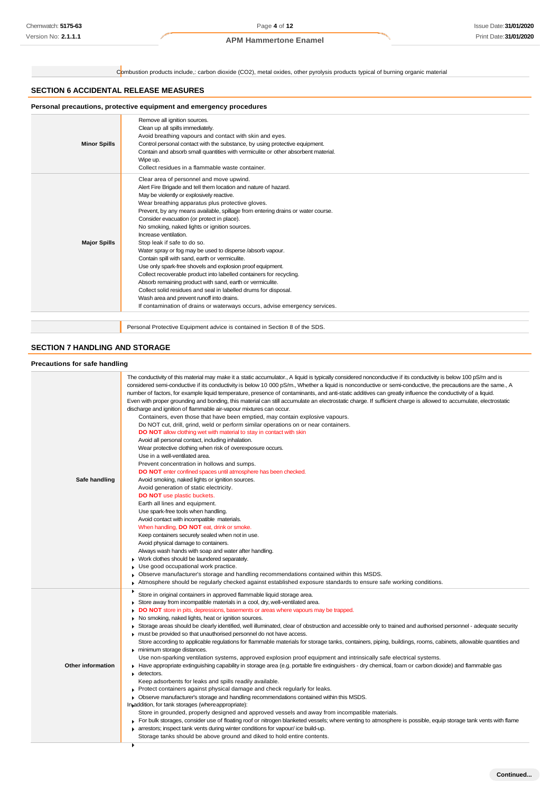Combustion products include,: carbon dioxide (CO2), metal oxides, other pyrolysis products typical of burning organic material

### **SECTION 6 ACCIDENTAL RELEASE MEASURES**

# **Personal precautions, protective equipment and emergency procedures**

| <b>Minor Spills</b> | Remove all ignition sources.<br>Clean up all spills immediately.<br>Avoid breathing vapours and contact with skin and eyes.<br>Control personal contact with the substance, by using protective equipment.<br>Contain and absorb small quantities with vermiculite or other absorbent material.<br>Wipe up.<br>Collect residues in a flammable waste container.                                                                                                                                                                                                                                                                                                                                                                                                                                                                                                                                                                                                        |
|---------------------|------------------------------------------------------------------------------------------------------------------------------------------------------------------------------------------------------------------------------------------------------------------------------------------------------------------------------------------------------------------------------------------------------------------------------------------------------------------------------------------------------------------------------------------------------------------------------------------------------------------------------------------------------------------------------------------------------------------------------------------------------------------------------------------------------------------------------------------------------------------------------------------------------------------------------------------------------------------------|
| <b>Major Spills</b> | Clear area of personnel and move upwind.<br>Alert Fire Brigade and tell them location and nature of hazard.<br>May be violently or explosively reactive.<br>Wear breathing apparatus plus protective gloves.<br>Prevent, by any means available, spillage from entering drains or water course.<br>Consider evacuation (or protect in place).<br>No smoking, naked lights or ignition sources.<br>Increase ventilation.<br>Stop leak if safe to do so.<br>Water spray or fog may be used to disperse /absorb vapour.<br>Contain spill with sand, earth or vermiculite.<br>Use only spark-free shovels and explosion proof equipment.<br>Collect recoverable product into labelled containers for recycling.<br>Absorb remaining product with sand, earth or vermiculite.<br>Collect solid residues and seal in labelled drums for disposal.<br>Wash area and prevent runoff into drains.<br>If contamination of drains or waterways occurs, advise emergency services. |
|                     |                                                                                                                                                                                                                                                                                                                                                                                                                                                                                                                                                                                                                                                                                                                                                                                                                                                                                                                                                                        |

Personal Protective Equipment advice is contained in Section 8 of the SDS.

# **SECTION 7 HANDLING AND STORAGE**

# **Precautions for safe handling**

| Safe handling            | The conductivity of this material may make it a static accumulator., A liquid is typically considered nonconductive if its conductivity is below 100 pS/m and is<br>considered semi-conductive if its conductivity is below 10 000 pS/m., Whether a liquid is nonconductive or semi-conductive, the precautions are the same., A<br>number of factors, for example liquid temperature, presence of contaminants, and anti-static additives can greatly influence the conductivity of a liquid.<br>Even with proper grounding and bonding, this material can still accumulate an electrostatic charge. If sufficient charge is allowed to accumulate, electrostatic<br>discharge and ignition of flammable air-vapour mixtures can occur.<br>Containers, even those that have been emptied, may contain explosive vapours.<br>Do NOT cut, drill, grind, weld or perform similar operations on or near containers.<br><b>DO NOT</b> allow clothing wet with material to stay in contact with skin<br>Avoid all personal contact, including inhalation.<br>Wear protective clothing when risk of overexposure occurs.<br>Use in a well-ventilated area.<br>Prevent concentration in hollows and sumps.<br><b>DO NOT</b> enter confined spaces until atmosphere has been checked.<br>Avoid smoking, naked lights or ignition sources.<br>Avoid generation of static electricity.<br><b>DO NOT</b> use plastic buckets.<br>Earth all lines and equipment.<br>Use spark-free tools when handling.<br>Avoid contact with incompatible materials.<br>When handling, DO NOT eat, drink or smoke.<br>Keep containers securely sealed when not in use.<br>Avoid physical damage to containers.<br>Always wash hands with soap and water after handling.<br>Work clothes should be laundered separately.<br>Use good occupational work practice.<br>▶ Observe manufacturer's storage and handling recommendations contained within this MSDS.<br>Atmosphere should be regularly checked against established exposure standards to ensure safe working conditions.<br>۰. |
|--------------------------|-------------------------------------------------------------------------------------------------------------------------------------------------------------------------------------------------------------------------------------------------------------------------------------------------------------------------------------------------------------------------------------------------------------------------------------------------------------------------------------------------------------------------------------------------------------------------------------------------------------------------------------------------------------------------------------------------------------------------------------------------------------------------------------------------------------------------------------------------------------------------------------------------------------------------------------------------------------------------------------------------------------------------------------------------------------------------------------------------------------------------------------------------------------------------------------------------------------------------------------------------------------------------------------------------------------------------------------------------------------------------------------------------------------------------------------------------------------------------------------------------------------------------------------------------------------------------------------------------------------------------------------------------------------------------------------------------------------------------------------------------------------------------------------------------------------------------------------------------------------------------------------------------------------------------------------------------------------------------------------------------------------------------------------------------------------|
| <b>Other information</b> | Store in original containers in approved flammable liquid storage area.<br>Store away from incompatible materials in a cool, dry, well-ventilated area.<br>۰.<br>DO NOT store in pits, depressions, basements or areas where vapours may be trapped.<br>٠<br>No smoking, naked lights, heat or ignition sources.<br>ь<br>▶ Storage areas should be clearly identified, well illuminated, clear of obstruction and accessible only to trained and authorised personnel - adequate security<br>must be provided so that unauthorised personnel do not have access.<br>Store according to applicable regulations for flammable materials for storage tanks, containers, piping, buildings, rooms, cabinets, allowable quantities and<br>minimum storage distances.<br>Use non-sparking ventilation systems, approved explosion proof equipment and intrinsically safe electrical systems.<br>Have appropriate extinguishing capability in storage area (e.g. portable fire extinguishers - dry chemical, foam or carbon dioxide) and flammable gas<br>$\bullet$ detectors.<br>Keep adsorbents for leaks and spills readily available.<br>Protect containers against physical damage and check regularly for leaks.<br>• Observe manufacturer's storage and handling recommendations contained within this MSDS.<br>In addition, for tank storages (where appropriate):<br>Store in grounded, properly designed and approved vessels and away from incompatible materials.<br>For bulk storages, consider use of floating roof or nitrogen blanketed vessels; where venting to atmosphere is possible, equip storage tank vents with flame<br>arrestors; inspect tank vents during winter conditions for vapour/ ice build-up.<br>Storage tanks should be above ground and diked to hold entire contents.                                                                                                                                                                                                                                                       |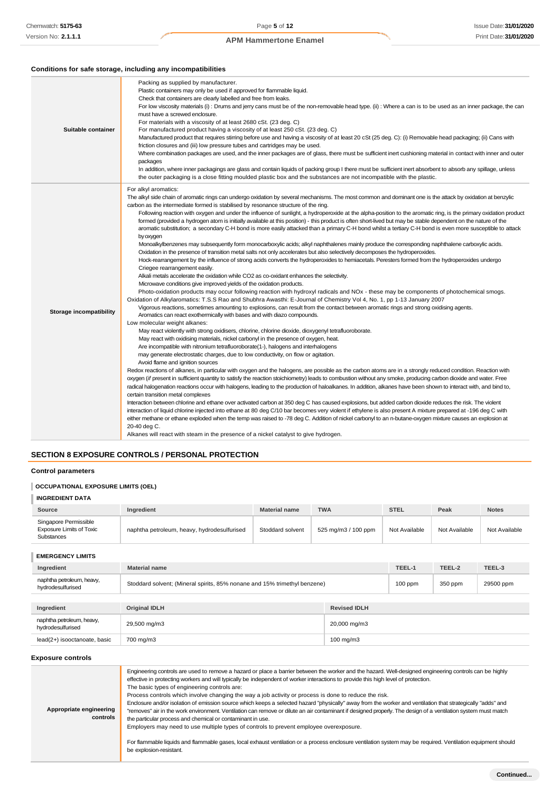# **Conditions for safe storage, including any incompatibilities**

| Suitable container             | Packing as supplied by manufacturer.<br>Plastic containers may only be used if approved for flammable liquid.<br>Check that containers are clearly labelled and free from leaks.<br>For low viscosity materials (i): Drums and jerry cans must be of the non-removable head type. (ii): Where a can is to be used as an inner package, the can<br>must have a screwed enclosure.<br>For materials with a viscosity of at least 2680 cSt. (23 deg. C)<br>For manufactured product having a viscosity of at least 250 cSt. (23 deg. C)<br>Manufactured product that requires stirring before use and having a viscosity of at least 20 cSt (25 deg. C): (i) Removable head packaging; (ii) Cans with<br>friction closures and (iii) low pressure tubes and cartridges may be used.<br>Where combination packages are used, and the inner packages are of glass, there must be sufficient inert cushioning material in contact with inner and outer<br>packages<br>In addition, where inner packagings are glass and contain liquids of packing group I there must be sufficient inert absorbent to absorb any spillage, unless<br>the outer packaging is a close fitting moulded plastic box and the substances are not incompatible with the plastic.                                                                                                                                                                                                                                                                                                                                                                                                                                                                                                                                                                                                                                                                                                                                                                                                                                                                                                                                                                                                                                                                                                                                                                                                                                                                                                                                                                                                                                                                                                                                                                                                                                                                                                                                                                                                                                                                                                                                                                                                                                                                                                                                                                                                                                                                           |
|--------------------------------|--------------------------------------------------------------------------------------------------------------------------------------------------------------------------------------------------------------------------------------------------------------------------------------------------------------------------------------------------------------------------------------------------------------------------------------------------------------------------------------------------------------------------------------------------------------------------------------------------------------------------------------------------------------------------------------------------------------------------------------------------------------------------------------------------------------------------------------------------------------------------------------------------------------------------------------------------------------------------------------------------------------------------------------------------------------------------------------------------------------------------------------------------------------------------------------------------------------------------------------------------------------------------------------------------------------------------------------------------------------------------------------------------------------------------------------------------------------------------------------------------------------------------------------------------------------------------------------------------------------------------------------------------------------------------------------------------------------------------------------------------------------------------------------------------------------------------------------------------------------------------------------------------------------------------------------------------------------------------------------------------------------------------------------------------------------------------------------------------------------------------------------------------------------------------------------------------------------------------------------------------------------------------------------------------------------------------------------------------------------------------------------------------------------------------------------------------------------------------------------------------------------------------------------------------------------------------------------------------------------------------------------------------------------------------------------------------------------------------------------------------------------------------------------------------------------------------------------------------------------------------------------------------------------------------------------------------------------------------------------------------------------------------------------------------------------------------------------------------------------------------------------------------------------------------------------------------------------------------------------------------------------------------------------------------------------------------------------------------------------------------------------------------------------------------------------------------------------------------------------------------------------------------------|
| <b>Storage incompatibility</b> | For alkyl aromatics:<br>The alkyl side chain of aromatic rings can undergo oxidation by several mechanisms. The most common and dominant one is the attack by oxidation at benzylic<br>carbon as the intermediate formed is stabilised by resonance structure of the ring.<br>Following reaction with oxygen and under the influence of sunlight, a hydroperoxide at the alpha-position to the aromatic ring, is the primary oxidation product<br>formed (provided a hydrogen atom is initially available at this position) - this product is often short-lived but may be stable dependent on the nature of the<br>aromatic substitution; a secondary C-H bond is more easily attacked than a primary C-H bond whilst a tertiary C-H bond is even more susceptible to attack<br>by oxygen<br>Monoalkylbenzenes may subsequently form monocarboxylic acids; alkyl naphthalenes mainly produce the corresponding naphthalene carboxylic acids.<br>Oxidation in the presence of transition metal salts not only accelerates but also selectively decomposes the hydroperoxides.<br>Hock-rearrangement by the influence of strong acids converts the hydroperoxides to hemiacetals. Peresters formed from the hydroperoxides undergo<br>Criegee rearrangement easily.<br>Alkali metals accelerate the oxidation while CO2 as co-oxidant enhances the selectivity.<br>Microwave conditions give improved yields of the oxidation products.<br>Photo-oxidation products may occur following reaction with hydroxyl radicals and NOx - these may be components of photochemical smogs.<br>Oxidation of Alkylaromatics: T.S.S Rao and Shubhra Awasthi: E-Journal of Chemistry Vol 4, No. 1, pp 1-13 January 2007<br>Vigorous reactions, sometimes amounting to explosions, can result from the contact between aromatic rings and strong oxidising agents.<br>Aromatics can react exothermically with bases and with diazo compounds.<br>Low molecular weight alkanes:<br>May react violently with strong oxidisers, chlorine, chlorine dioxide, dioxygenyl tetrafluoroborate.<br>May react with oxidising materials, nickel carbonyl in the presence of oxygen, heat.<br>Are incompatible with nitronium tetrafluoroborate(1-), halogens and interhalogens<br>may generate electrostatic charges, due to low conductivity, on flow or agitation.<br>Avoid flame and ignition sources<br>Redox reactions of alkanes, in particular with oxygen and the halogens, are possible as the carbon atoms are in a strongly reduced condition. Reaction with<br>oxygen (if present in sufficient quantity to satisfy the reaction stoichiometry) leads to combustion without any smoke, producing carbon dioxide and water. Free<br>radical halogenation reactions occur with halogens, leading to the production of haloalkanes. In addition, alkanes have been shown to interact with, and bind to,<br>certain transition metal complexes<br>Interaction between chlorine and ethane over activated carbon at 350 deg C has caused explosions, but added carbon dioxide reduces the risk. The violent<br>interaction of liquid chlorine injected into ethane at 80 deg C/10 bar becomes very violent if ethylene is also present A mixture prepared at -196 deg C with<br>either methane or ethane exploded when the temp was raised to -78 deg C. Addition of nickel carbonyl to an n-butane-oxygen mixture causes an explosion at<br>20-40 deg C.<br>Alkanes will react with steam in the presence of a nickel catalyst to give hydrogen. |

# **SECTION 8 EXPOSURE CONTROLS / PERSONAL PROTECTION**

lead(2+) isooctanoate, basic 700 mg/m3 100 mg/m3

# **Control parameters**

# **OCCUPATIONAL EXPOSURE LIMITS (OEL)**

# **INGREDIENT DATA**

| Source                                                                        | Ingredient                                                                | Material name    | <b>TWA</b>          | <b>STEL</b>   | Peak          | <b>Notes</b>  |
|-------------------------------------------------------------------------------|---------------------------------------------------------------------------|------------------|---------------------|---------------|---------------|---------------|
| Singapore Permissible<br><b>Exposure Limits of Toxic</b><br><b>Substances</b> | naphtha petroleum, heavy, hydrodesulfurised                               | Stoddard solvent | 525 mg/m3 / 100 ppm | Not Available | Not Available | Not Available |
| <b>EMERGENCY LIMITS</b>                                                       |                                                                           |                  |                     |               |               |               |
| Ingredient                                                                    | <b>Material name</b>                                                      |                  |                     | TEEL-1        | TEEL-2        | TEEL-3        |
| naphtha petroleum, heavy,<br>hydrodesulfurised                                | Stoddard solvent; (Mineral spirits, 85% nonane and 15% trimethyl benzene) |                  | $100$ ppm           | 350 ppm       | 29500 ppm     |               |
|                                                                               |                                                                           |                  |                     |               |               |               |
| Ingredient                                                                    | <b>Original IDLH</b><br><b>Revised IDLH</b>                               |                  |                     |               |               |               |
| naphtha petroleum, heavy,<br>hydrodesulfurised                                | 29,500 mg/m3<br>20,000 mg/m3                                              |                  |                     |               |               |               |

#### **Exposure controls**

| Appropriate engineering<br>controls | Engineering controls are used to remove a hazard or place a barrier between the worker and the hazard. Well-designed engineering controls can be highly<br>effective in protecting workers and will typically be independent of worker interactions to provide this high level of protection.<br>The basic types of engineering controls are:<br>Process controls which involve changing the way a job activity or process is done to reduce the risk.<br>Enclosure and/or isolation of emission source which keeps a selected hazard "physically" away from the worker and ventilation that strategically "adds" and<br>"removes" air in the work environment. Ventilation can remove or dilute an air contaminant if designed properly. The design of a ventilation system must match<br>the particular process and chemical or contaminant in use.<br>Employers may need to use multiple types of controls to prevent employee overexposure.<br>For flammable liquids and flammable gases, local exhaust ventilation or a process enclosure ventilation system may be required. Ventilation equipment should<br>be explosion-resistant. |
|-------------------------------------|--------------------------------------------------------------------------------------------------------------------------------------------------------------------------------------------------------------------------------------------------------------------------------------------------------------------------------------------------------------------------------------------------------------------------------------------------------------------------------------------------------------------------------------------------------------------------------------------------------------------------------------------------------------------------------------------------------------------------------------------------------------------------------------------------------------------------------------------------------------------------------------------------------------------------------------------------------------------------------------------------------------------------------------------------------------------------------------------------------------------------------------------|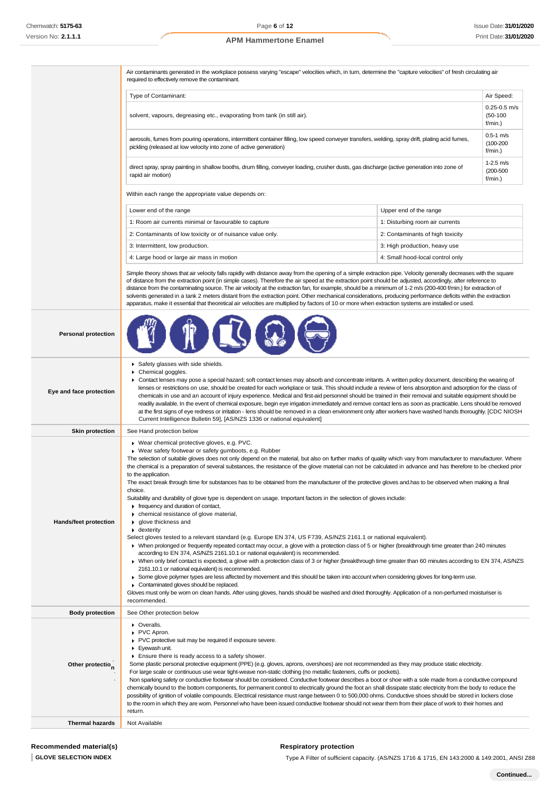Air contaminants generated in the workplace possess varying "escape" velocities which, in turn, determine the "capture velocities" of fresh circulating air required to effectively remove the contaminant.

| Type of Contaminant:                                                                                                                                                                                                   | Air Speed:                                   |
|------------------------------------------------------------------------------------------------------------------------------------------------------------------------------------------------------------------------|----------------------------------------------|
| solvent, vapours, degreasing etc., evaporating from tank (in still air).                                                                                                                                               | $0.25 - 0.5$ m/s<br>$(50-100)$<br>$f/min.$ ) |
| aerosols, fumes from pouring operations, intermittent container filling, low speed conveyer transfers, welding, spray drift, plating acid fumes,<br>pickling (released at low velocity into zone of active generation) | $0.5 - 1$ m/s<br>$(100 - 200)$<br>$f/min.$ ) |
| direct spray, spray painting in shallow booths, drum filling, conveyer loading, crusher dusts, gas discharge (active generation into zone of<br>rapid air motion)                                                      | $1-2.5$ m/s<br>$(200 - 500)$<br>f/min.)      |

| Lower end of the range                                     | Upper end of the range           |
|------------------------------------------------------------|----------------------------------|
| 1: Room air currents minimal or favourable to capture      | 1: Disturbing room air currents  |
| 2: Contaminants of low toxicity or of nuisance value only. | 2: Contaminants of high toxicity |
| 3: Intermittent, low production.                           | 3: High production, heavy use    |
| 4: Large hood or large air mass in motion                  | 4: Small hood-local control only |

Simple theory shows that air velocity falls rapidly with distance away from the opening of a simple extraction pipe. Velocity generally decreases with the square<br>of distance from the extraction point (in simple cases). The distance from the contaminating source. The air velocity at the extraction fan, for example, should be a minimum of 1-2 m/s (200-400 f/min.) for extraction of solvents generated in a tank 2 meters distant from the extraction point. Other mechanical considerations, producing performance deficits within the extraction<br>consideration and intervention of the extraction of the extract apparatus, make it essential that theoretical air velocities are multiplied by factors of 10 or more when extraction systems are installed or used.

|                              | apparatus, make it essembal that theoretical air velocities are multiplied by factors of TO or more when extraction systems are installed or used.                                                                                                                                                                                                                                                                                                                                                                                                                                                                                                                                                                                                                                                                                                                                                                                                                                                                                                                                                                                                                                                                                                                                                                                                                                                                                                                                                                                                                                                                                                                                                                                                                                                                                                                                    |  |  |  |  |  |
|------------------------------|---------------------------------------------------------------------------------------------------------------------------------------------------------------------------------------------------------------------------------------------------------------------------------------------------------------------------------------------------------------------------------------------------------------------------------------------------------------------------------------------------------------------------------------------------------------------------------------------------------------------------------------------------------------------------------------------------------------------------------------------------------------------------------------------------------------------------------------------------------------------------------------------------------------------------------------------------------------------------------------------------------------------------------------------------------------------------------------------------------------------------------------------------------------------------------------------------------------------------------------------------------------------------------------------------------------------------------------------------------------------------------------------------------------------------------------------------------------------------------------------------------------------------------------------------------------------------------------------------------------------------------------------------------------------------------------------------------------------------------------------------------------------------------------------------------------------------------------------------------------------------------------|--|--|--|--|--|
| <b>Personal protection</b>   |                                                                                                                                                                                                                                                                                                                                                                                                                                                                                                                                                                                                                                                                                                                                                                                                                                                                                                                                                                                                                                                                                                                                                                                                                                                                                                                                                                                                                                                                                                                                                                                                                                                                                                                                                                                                                                                                                       |  |  |  |  |  |
| Eye and face protection      | Safety glasses with side shields.<br>▶ Chemical goggles.<br>▶ Contact lenses may pose a special hazard; soft contact lenses may absorb and concentrate irritants. A written policy document, describing the wearing of<br>lenses or restrictions on use, should be created for each workplace or task. This should include a review of lens absorption and adsorption for the class of<br>chemicals in use and an account of injury experience. Medical and first-aid personnel should be trained in their removal and suitable equipment should be<br>readily available. In the event of chemical exposure, begin eye irrigation immediately and remove contact lens as soon as practicable. Lens should be removed<br>at the first signs of eye redness or irritation - lens should be removed in a clean environment only after workers have washed hands thoroughly. [CDC NIOSH<br>Current Intelligence Bulletin 59], [AS/NZS 1336 or national equivalent]                                                                                                                                                                                                                                                                                                                                                                                                                                                                                                                                                                                                                                                                                                                                                                                                                                                                                                                        |  |  |  |  |  |
| <b>Skin protection</b>       | See Hand protection below                                                                                                                                                                                                                                                                                                                                                                                                                                                                                                                                                                                                                                                                                                                                                                                                                                                                                                                                                                                                                                                                                                                                                                                                                                                                                                                                                                                                                                                                                                                                                                                                                                                                                                                                                                                                                                                             |  |  |  |  |  |
| <b>Hands/feet protection</b> | ▶ Wear chemical protective gloves, e.g. PVC.<br>▶ Wear safety footwear or safety gumboots, e.g. Rubber<br>The selection of suitable gloves does not only depend on the material, but also on further marks of quality which vary from manufacturer to manufacturer. Where<br>the chemical is a preparation of several substances, the resistance of the glove material can not be calculated in advance and has therefore to be checked prior<br>to the application.<br>The exact break through time for substances has to be obtained from the manufacturer of the protective gloves and has to be observed when making a final<br>choice.<br>Suitability and durability of glove type is dependent on usage. Important factors in the selection of gloves include:<br>$\blacktriangleright$ frequency and duration of contact,<br>• chemical resistance of glove material,<br>glove thickness and<br>$\triangleright$ dexterity<br>Select gloves tested to a relevant standard (e.g. Europe EN 374, US F739, AS/NZS 2161.1 or national equivalent).<br>> When prolonged or frequently repeated contact may occur, a glove with a protection class of 5 or higher (breakthrough time greater than 240 minutes<br>according to EN 374, AS/NZS 2161.10.1 or national equivalent) is recommended.<br>> When only brief contact is expected, a glove with a protection class of 3 or higher (breakthrough time greater than 60 minutes according to EN 374, AS/NZS<br>2161.10.1 or national equivalent) is recommended.<br>▶ Some glove polymer types are less affected by movement and this should be taken into account when considering gloves for long-term use.<br>Contaminated gloves should be replaced.<br>Gloves must only be wom on clean hands. After using gloves, hands should be washed and dried thoroughly. Application of a non-perfumed moisturiser is<br>recommended. |  |  |  |  |  |
| <b>Body protection</b>       | See Other protection below                                                                                                                                                                                                                                                                                                                                                                                                                                                                                                                                                                                                                                                                                                                                                                                                                                                                                                                                                                                                                                                                                                                                                                                                                                                                                                                                                                                                                                                                                                                                                                                                                                                                                                                                                                                                                                                            |  |  |  |  |  |
| Other protectio <sub>n</sub> | • Overalls.<br>PVC Apron.<br>PVC protective suit may be required if exposure severe.<br>Eyewash unit.<br>Ensure there is ready access to a safety shower.<br>Some plastic personal protective equipment (PPE) (e.g. gloves, aprons, overshoes) are not recommended as they may produce static electricity.<br>For large scale or continuous use wear tight-weave non-static clothing (no metallic fasteners, cuffs or pockets).<br>Non sparking safety or conductive footwear should be considered. Conductive footwear describes a boot or shoe with a sole made from a conductive compound<br>chemically bound to the bottom components, for permanent control to electrically ground the foot an shall dissipate static electricity from the body to reduce the<br>possibility of ignition of volatile compounds. Electrical resistance must range between 0 to 500,000 ohms. Conductive shoes should be stored in lockers close<br>to the room in which they are worn. Personnel who have been issued conductive footwear should not wear them from their place of work to their homes and<br>return.                                                                                                                                                                                                                                                                                                                                                                                                                                                                                                                                                                                                                                                                                                                                                                             |  |  |  |  |  |
| <b>Thermal hazards</b>       | Not Available                                                                                                                                                                                                                                                                                                                                                                                                                                                                                                                                                                                                                                                                                                                                                                                                                                                                                                                                                                                                                                                                                                                                                                                                                                                                                                                                                                                                                                                                                                                                                                                                                                                                                                                                                                                                                                                                         |  |  |  |  |  |

#### **Respiratory protection**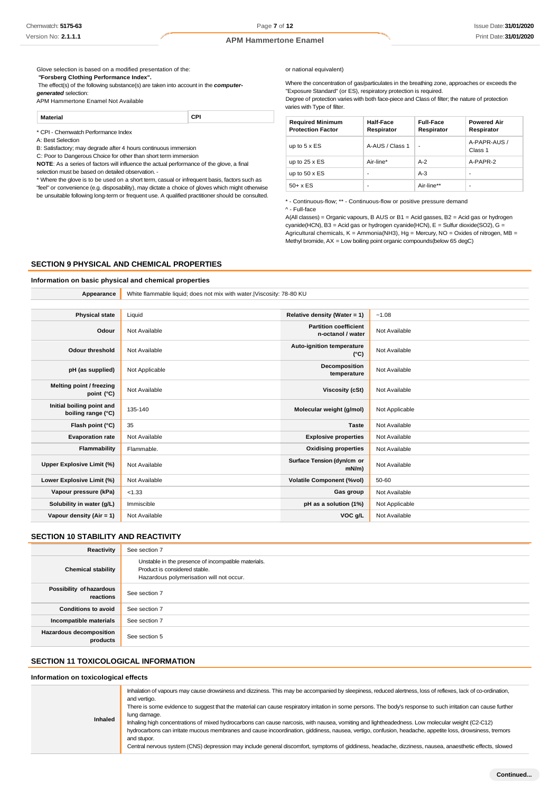*generated* selection:

A: Best Selection

### **APM Hammertone Enamel**

or national equivalent)

Where the concentration of gas/particulates in the breathing zone, approaches or exceeds the "Exposure Standard" (or ES), respiratory protection is required.

Degree of protection varies with both face-piece and Class of filter; the nature of protection varies with Type of filter.

| <b>Required Minimum</b><br><b>Protection Factor</b> | <b>Half-Face</b><br>Respirator | <b>Full-Face</b><br>Respirator | <b>Powered Air</b><br>Respirator |
|-----------------------------------------------------|--------------------------------|--------------------------------|----------------------------------|
| up to $5 \times ES$                                 | A-AUS / Class 1                | ٠                              | A-PAPR-AUS /<br>Class 1          |
| up to $25 \times ES$                                | Air-line*                      | $A-2$                          | A-PAPR-2                         |
| up to $50 \times ES$                                | ٠                              | $A-3$                          | ٠                                |
| $50+ x ES$                                          | ٠                              | Air-line**                     | ٠                                |

\* - Continuous-flow; \*\* - Continuous-flow or positive pressure demand

^ - Full-face

A(All classes) = Organic vapours, B AUS or B1 = Acid gasses, B2 = Acid gas or hydrogen cyanide(HCN), B3 = Acid gas or hydrogen cyanide(HCN), E = Sulfur dioxide(SO2), G = Agricultural chemicals, K = Ammonia(NH3), Hg = Mercury, NO = Oxides of nitrogen, MB = Methyl bromide, AX = Low boiling point organic compounds(below 65 degC)

### **SECTION 9 PHYSICAL AND CHEMICAL PROPERTIES**

#### **Information on basic physical and chemical properties**

Glove selection is based on a modified presentation of the:

B: Satisfactory; may degrade after 4 hours continuous immersion C: Poor to Dangerous Choice for other than short term immersion

**Material CPI**

The effect(s) of the following substance(s) are taken into account in the *computer-*

**NOTE**: As a series of factors will influence the actual performance of the glove, a final

\* Where the glove is to be used on a short term, casual or infrequent basis, factors such as "feel" or convenience (e.g. disposability), may dictate a choice of gloves which might otherwise be unsuitable following long-term or frequent use. A qualified practitioner should be consulted.

*"***Forsberg Clothing Performance Index".**

selection must be based on detailed observation. -

APM Hammertone Enamel Not Available

\* CPI - Chemwatch Performance Index

**Appearance** White flammable liquid; does not mix with water.|Viscosity: 78-80 KU

| <b>Physical state</b>                           | Liquid         | Relative density (Water = 1)                      | $-1.08$        |
|-------------------------------------------------|----------------|---------------------------------------------------|----------------|
| Odour                                           | Not Available  | <b>Partition coefficient</b><br>n-octanol / water | Not Available  |
| <b>Odour threshold</b>                          | Not Available  | Auto-ignition temperature<br>$(^{\circ}C)$        | Not Available  |
| pH (as supplied)                                | Not Applicable | Decomposition<br>temperature                      | Not Available  |
| Melting point / freezing<br>point (°C)          | Not Available  | Viscosity (cSt)                                   | Not Available  |
| Initial boiling point and<br>boiling range (°C) | 135-140        | Molecular weight (g/mol)                          | Not Applicable |
| Flash point (°C)                                | 35             | <b>Taste</b>                                      | Not Available  |
| <b>Evaporation rate</b>                         | Not Available  | <b>Explosive properties</b>                       | Not Available  |
| Flammability                                    | Flammable.     | <b>Oxidising properties</b>                       | Not Available  |
| Upper Explosive Limit (%)                       | Not Available  | Surface Tension (dyn/cm or<br>$mN/m$ )            | Not Available  |
| Lower Explosive Limit (%)                       | Not Available  | <b>Volatile Component (%vol)</b>                  | 50-60          |
| Vapour pressure (kPa)                           | < 1.33         | Gas group                                         | Not Available  |
| Solubility in water (g/L)                       | Immiscible     | pH as a solution (1%)                             | Not Applicable |
| Vapour density (Air = 1)                        | Not Available  | VOC g/L                                           | Not Available  |

#### **SECTION 10 STABILITY AND REACTIVITY**

| Reactivity                                 | See section 7                                                                                                                    |
|--------------------------------------------|----------------------------------------------------------------------------------------------------------------------------------|
| <b>Chemical stability</b>                  | Unstable in the presence of incompatible materials.<br>Product is considered stable.<br>Hazardous polymerisation will not occur. |
| Possibility of hazardous<br>reactions      | See section 7                                                                                                                    |
| <b>Conditions to avoid</b>                 | See section 7                                                                                                                    |
| Incompatible materials                     | See section 7                                                                                                                    |
| <b>Hazardous decomposition</b><br>products | See section 5                                                                                                                    |

# **SECTION 11 TOXICOLOGICAL INFORMATION**

#### **Information on toxicological effects**

| Inhaled | Inhalation of vapours may cause drowsiness and dizziness. This may be accompanied by sleepiness, reduced alertness, loss of reflexes, lack of co-ordination,<br>and vertigo.<br>There is some evidence to suggest that the material can cause respiratory irritation in some persons. The body's response to such irritation can cause further<br>lung damage.<br>Inhaling high concentrations of mixed hydrocarbons can cause narcosis, with nausea, vomiting and lightheadedness. Low molecular weight (C2-C12)<br>hydrocarbons can irritate mucous membranes and cause incoordination, giddiness, nausea, vertigo, confusion, headache, appetite loss, drowsiness, tremors<br>and stupor. |
|---------|----------------------------------------------------------------------------------------------------------------------------------------------------------------------------------------------------------------------------------------------------------------------------------------------------------------------------------------------------------------------------------------------------------------------------------------------------------------------------------------------------------------------------------------------------------------------------------------------------------------------------------------------------------------------------------------------|
|         | Central nervous system (CNS) depression may include general discomfort, symptoms of giddiness, headache, dizziness, nausea, anaesthetic effects, slowed                                                                                                                                                                                                                                                                                                                                                                                                                                                                                                                                      |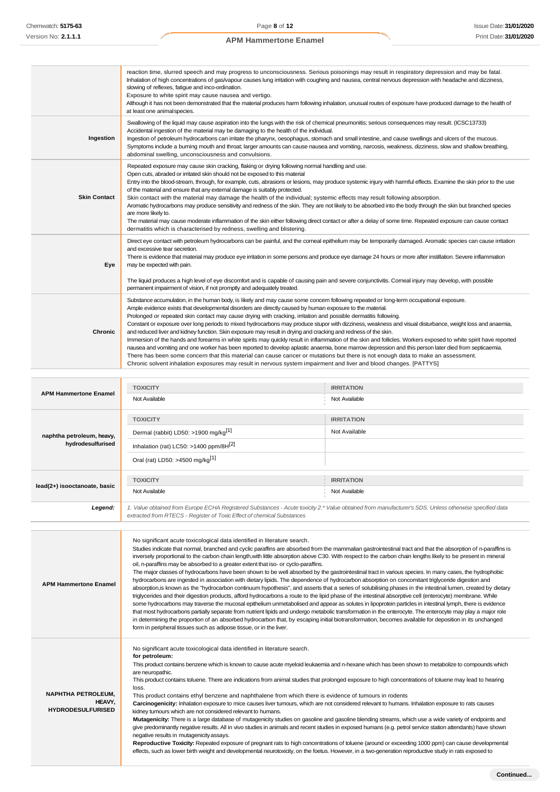|                                                | reaction time, slurred speech and may progress to unconsciousness. Serious poisonings may result in respiratory depression and may be fatal.<br>Inhalation of high concentrations of gas/vapour causes lung irritation with coughing and nausea, central nervous depression with headache and dizziness,<br>slowing of reflexes, fatigue and inco-ordination.<br>Exposure to white spirit may cause nausea and vertigo.<br>Although it has not been demonstrated that the material produces harm following inhalation, unusual routes of exposure have produced damage to the health of<br>at least one animal species.                                                                                                                                                                                                                                                                                                                                                                                                                                                                                                                                                                                                                       |                                    |  |
|------------------------------------------------|-----------------------------------------------------------------------------------------------------------------------------------------------------------------------------------------------------------------------------------------------------------------------------------------------------------------------------------------------------------------------------------------------------------------------------------------------------------------------------------------------------------------------------------------------------------------------------------------------------------------------------------------------------------------------------------------------------------------------------------------------------------------------------------------------------------------------------------------------------------------------------------------------------------------------------------------------------------------------------------------------------------------------------------------------------------------------------------------------------------------------------------------------------------------------------------------------------------------------------------------------|------------------------------------|--|
| Ingestion                                      | Swallowing of the liquid may cause aspiration into the lungs with the risk of chemical pneumonitis; serious consequences may result. (ICSC13733)<br>Accidental ingestion of the material may be damaging to the health of the individual.<br>Ingestion of petroleum hydrocarbons can irritate the pharynx, oesophagus, stomach and small intestine, and cause swellings and ulcers of the mucous.<br>Symptoms include a buming mouth and throat; larger amounts can cause nausea and vomiting, narcosis, weakness, dizziness, slow and shallow breathing,<br>abdominal swelling, unconsciousness and convulsions.                                                                                                                                                                                                                                                                                                                                                                                                                                                                                                                                                                                                                             |                                    |  |
| <b>Skin Contact</b>                            | Repeated exposure may cause skin cracking, flaking or drying following normal handling and use.<br>Open cuts, abraded or irritated skin should not be exposed to this material<br>Entry into the blood-stream, through, for example, cuts, abrasions or lesions, may produce systemic injury with harmful effects. Examine the skin prior to the use<br>of the material and ensure that any external damage is suitably protected.<br>Skin contact with the material may damage the health of the individual; systemic effects may result following absorption.<br>Aromatic hydrocarbons may produce sensitivity and redness of the skin. They are not likely to be absorbed into the body through the skin but branched species<br>are more likely to.<br>The material may cause moderate inflammation of the skin either following direct contact or after a delay of some time. Repeated exposure can cause contact<br>dermatitis which is characterised by redness, swelling and blistering.                                                                                                                                                                                                                                              |                                    |  |
| Eye                                            | Direct eye contact with petroleum hydrocarbons can be painful, and the corneal epithelium may be temporarily damaged. Aromatic species can cause irritation<br>and excessive tear secretion.<br>There is evidence that material may produce eye irritation in some persons and produce eye damage 24 hours or more after instillation. Severe inflammation<br>may be expected with pain.<br>The liquid produces a high level of eye discomfort and is capable of causing pain and severe conjunctivitis. Comeal injury may develop, with possible<br>permanent impairment of vision, if not promptly and adequately treated.                                                                                                                                                                                                                                                                                                                                                                                                                                                                                                                                                                                                                  |                                    |  |
| <b>Chronic</b>                                 | Substance accumulation, in the human body, is likely and may cause some concem following repeated or long-term occupational exposure.<br>Ample evidence exists that developmental disorders are directly caused by human exposure to the material.<br>Prolonged or repeated skin contact may cause drying with cracking, irritation and possible dermatitis following.<br>Constant or exposure over long periods to mixed hydrocarbons may produce stupor with dizziness, weakness and visual disturbance, weight loss and anaemia,<br>and reduced liver and kidney function. Skin exposure may result in drying and cracking and redness of the skin.<br>Immersion of the hands and forearms in white spirits may quickly result in inflammation of the skin and follicles. Workers exposed to white spirit have reported<br>nausea and vomiting and one worker has been reported to develop aplastic anaemia, bone marrow depression and this person later died from septicaemia.<br>There has been some concern that this material can cause cancer or mutations but there is not enough data to make an assessment.<br>Chronic solvent inhalation exposures may result in nervous system impairment and liver and blood changes. [PATTYS] |                                    |  |
|                                                |                                                                                                                                                                                                                                                                                                                                                                                                                                                                                                                                                                                                                                                                                                                                                                                                                                                                                                                                                                                                                                                                                                                                                                                                                                               |                                    |  |
|                                                | <b>TOXICITY</b>                                                                                                                                                                                                                                                                                                                                                                                                                                                                                                                                                                                                                                                                                                                                                                                                                                                                                                                                                                                                                                                                                                                                                                                                                               | <b>IRRITATION</b>                  |  |
| <b>APM Hammertone Enamel</b>                   | Not Available                                                                                                                                                                                                                                                                                                                                                                                                                                                                                                                                                                                                                                                                                                                                                                                                                                                                                                                                                                                                                                                                                                                                                                                                                                 | Not Available                      |  |
| naphtha petroleum, heavy,<br>hydrodesulfurised | <b>TOXICITY</b><br>Dermal (rabbit) LD50: >1900 mg/kg <sup>[1]</sup><br>Inhalation (rat) LC50: >1400 ppm/8H <sup>[2]</sup><br>Oral (rat) LD50: >4500 mg/kg <sup>[1]</sup>                                                                                                                                                                                                                                                                                                                                                                                                                                                                                                                                                                                                                                                                                                                                                                                                                                                                                                                                                                                                                                                                      | <b>IRRITATION</b><br>Not Available |  |
|                                                |                                                                                                                                                                                                                                                                                                                                                                                                                                                                                                                                                                                                                                                                                                                                                                                                                                                                                                                                                                                                                                                                                                                                                                                                                                               |                                    |  |
| lead(2+) isooctanoate, basic                   | <b>TOXICITY</b>                                                                                                                                                                                                                                                                                                                                                                                                                                                                                                                                                                                                                                                                                                                                                                                                                                                                                                                                                                                                                                                                                                                                                                                                                               | <b>IRRITATION</b>                  |  |
|                                                | Not Available                                                                                                                                                                                                                                                                                                                                                                                                                                                                                                                                                                                                                                                                                                                                                                                                                                                                                                                                                                                                                                                                                                                                                                                                                                 | Not Available                      |  |
| Leaend:                                        | 1. Value obtained from Europe ECHA Registered Substances - Acute toxicity 2.* Value obtained from manufacturer's SDS. Unless otherwise specified data                                                                                                                                                                                                                                                                                                                                                                                                                                                                                                                                                                                                                                                                                                                                                                                                                                                                                                                                                                                                                                                                                         |                                    |  |

| <b>APM Hammertone Enamel</b>                                    | No significant acute toxicological data identified in literature search.<br>Studies indicate that normal, branched and cyclic paraffins are absorbed from the mammalian gastrointestinal tract and that the absorption of n-paraffins is<br>inversely proportional to the carbon chain length, with little absorption above C30. With respect to the carbon chain lengths likely to be present in mineral<br>oil, n-paraffins may be absorbed to a greater extent that iso- or cyclo-paraffins.<br>The major classes of hydrocarbons have been shown to be well absorbed by the gastrointestinal tract in various species. In many cases, the hydrophobic<br>hydrocarbons are ingested in association with dietary lipids. The dependence of hydrocarbon absorption on concomitant triglyceride digestion and<br>absorption, is known as the "hydrocarbon continuum hypothesis", and asserts that a series of solubilising phases in the intestinal lumen, created by dietary<br>triglycerides and their digestion products, afford hydrocarbons a route to the lipid phase of the intestinal absorptive cell (enterocyte) membrane. While<br>some hydrocarbons may traverse the mucosal epithelium unmetabolised and appear as solutes in lipoprotein particles in intestinal lymph, there is evidence<br>that most hydrocarbons partially separate from nutrient lipids and undergo metabolic transformation in the enterocyte. The enterocyte may play a major role<br>in determining the proportion of an absorbed hydrocarbon that, by escaping initial biotransformation, becomes available for deposition in its unchanged<br>form in peripheral tissues such as adipose tissue, or in the liver. |
|-----------------------------------------------------------------|----------------------------------------------------------------------------------------------------------------------------------------------------------------------------------------------------------------------------------------------------------------------------------------------------------------------------------------------------------------------------------------------------------------------------------------------------------------------------------------------------------------------------------------------------------------------------------------------------------------------------------------------------------------------------------------------------------------------------------------------------------------------------------------------------------------------------------------------------------------------------------------------------------------------------------------------------------------------------------------------------------------------------------------------------------------------------------------------------------------------------------------------------------------------------------------------------------------------------------------------------------------------------------------------------------------------------------------------------------------------------------------------------------------------------------------------------------------------------------------------------------------------------------------------------------------------------------------------------------------------------------------------------------------------------------------------------------|
| <b>NAPHTHA PETROLEUM.</b><br>HEAVY.<br><b>HYDRODESULFURISED</b> | No significant acute toxicological data identified in literature search.<br>for petroleum:<br>This product contains benzene which is known to cause acute myeloid leukaemia and n-hexane which has been shown to metabolize to compounds which<br>are neuropathic.<br>This product contains toluene. There are indications from animal studies that prolonged exposure to high concentrations of toluene may lead to hearing<br>loss.<br>This product contains ethyl benzene and naphthalene from which there is evidence of tumours in rodents<br>Carcinogenicity: Inhalation exposure to mice causes liver tumours, which are not considered relevant to humans. Inhalation exposure to rats causes<br>kidney tumours which are not considered relevant to humans.<br>Mutagenicity: There is a large database of mutagenicity studies on gasoline and gasoline blending streams, which use a wide variety of endpoints and<br>give predominantly negative results. All in vivo studies in animals and recent studies in exposed humans (e.g. petrol service station attendants) have shown<br>negative results in mutagenicity assays.<br>Reproductive Toxicity: Repeated exposure of pregnant rats to high concentrations of toluene (around or exceeding 1000 ppm) can cause developmental<br>effects, such as lower birth weight and developmental neurotoxicity, on the foetus. However, in a two-generation reproductive study in rats exposed to                                                                                                                                                                                                                                                 |

*extracted from RTECS - Register of Toxic Effect of chemical Substances*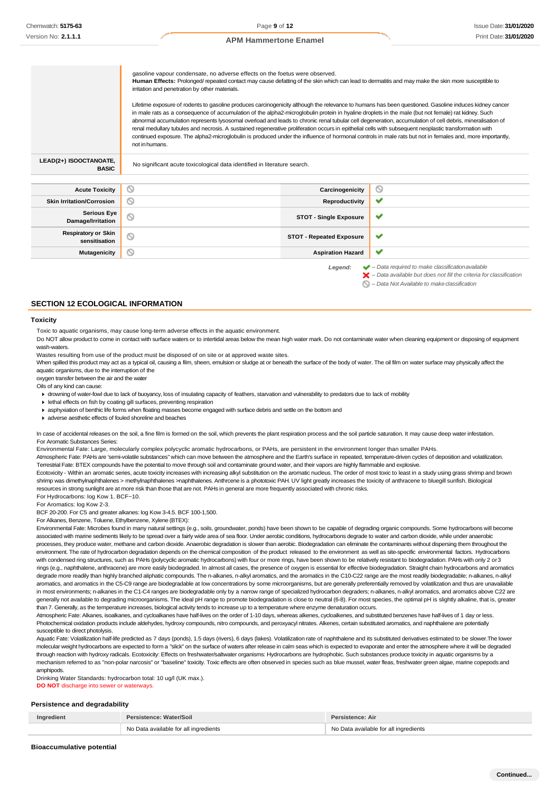#### gasoline vapour condensate, no adverse effects on the foetus were observed. **Human Effects:** Prolonged/ repeated contact may cause defatting of the skin which can lead to dermatitis and may make the skin more susceptible to irritation and penetration by other materials. Lifetime exposure of rodents to gasoline produces carcinogenicity although the relevance to humans has been questioned. Gasoline induces kidney cancer in male rats as a consequence of accumulation of the alpha2-microglobulin protein in hyaline droplets in the male (but not female) rat kidney. Such abnormal accumulation represents lysosomal overload and leads to chronic renal tubular cell degeneration, accumulation of cell debris, mineralisation of renal medullary tubules and necrosis. A sustained regenerative proliferation occurs in epithelial cells with subsequent neoplastic transformation with continued exposure. The alpha2-microglobulin is produced under the influence of hormonal controls in male rats but not in females and, more importantly, not inhumans. **LEAD(2+) ISOOCTANOATE, BASIC** No significant acute toxicological data identified in literature search. **Acute Toxicity Carcinogenicity**  $\circ$ **Skin Irritation/Corrosion Reproductivity** V **Serious Eye Damage/Irritation Serious Exposure**<br> **Damage/Irritation**  $\checkmark$ **Respiratory or Skin STOT - Repeated Exposure** w **Mutagenicity Aspiration Hazard**  $\checkmark$ *Legend: – Data required to make classificationavailable – Data available but does not fill the criteria for classification*

*– Data Not Available to makeclassification*

#### **SECTION 12 ECOLOGICAL INFORMATION**

#### **Toxicity**

Toxic to aquatic organisms, may cause long-term adverse effects in the aquatic environment.

Do NOT allow product to come in contact with surface waters or to intertidal areas below the mean high water mark. Do not contaminate water when cleaning equipment or disposing of equipment wash-waters.

Wastes resulting from use of the product must be disposed of on site or at approved waste sites.

When spilled this product may act as a typical oil, causing a film, sheen, emulsion or sludge at or beneath the surface of the body of water. The oil film on water surface may physically affect the aquatic organisms, due to the interruption of the

oxygen transfer between the air and the wate

Oils of any kind can cause:

- drowning of water-fowl due to lack of buoyancy, loss of insulating capacity of feathers, starvation and vulnerability to predators due to lack of mobility
- **I** lethal effects on fish by coating gill surfaces, preventing respiration
- asphyxiation of benthic life forms when floating masses become engaged with surface debris and settle on the bottom and
- adverse aesthetic effects of fouled shoreline and beaches

In case of accidental releases on the soil, a fine film is formed on the soil, which prevents the plant respiration process and the soil particle saturation. It may cause deep water infestation. For Aromatic Substances Series:

Environmental Fate: Large, molecularly complex polycyclic aromatic hydrocarbons, or PAHs, are persistent in the environment longer than smaller PAHs. Atmospheric Fate: PAHs are 'semi-volatile substances" which can move between the atmosphere and the Earth's surface in repeated, temperature-driven cycles of deposition and volatilization. Terrestrial Fate: BTEX compounds have the potential to move through soil and contaminate ground water, and their vapors are highly flammable and explosive.

Ecotoxicity - Within an aromatic series, acute toxicity increases with increasing alkyl substitution on the aromatic nucleus. The order of most toxic to least in a study using grass shrimp and brown shrimp was dimethylnaphthalenes > methylnaphthalenes >naphthalenes. Anthrcene is a phototoxic PAH. UV light greatly increases the toxicity of anthracene to bluegill sunfish. Biological resources in strong sunlight are at more risk than those that are not. PAHs in general are more frequently associated with chronic risks. For Hydrocarbons: log Kow 1. BCF~10.

For Aromatics: log Kow 2-3.

BCF 20-200. For C5 and greater alkanes: log Kow 3-4.5. BCF 100-1,500.

For Alkanes, Benzene, Toluene, Ethylbenzene, Xylene (BTEX):

Environmental Fate: Microbes found in many natural settings (e.g., soils, groundwater, ponds) have been shown to be capable of degrading organic compounds. Some hydrocarbons will become associated with marine sediments likely to be spread over a fairly wide area of sea floor. Under aerobic conditions, hydrocarbons degrade to water and carbon dioxide, while under anaerobic processes, they produce water, methane and carbon dioxide. Anaerobic degradation is slower than aerobic. Biodegradation can eliminate the contaminants without dispersing them throughout the environment. The rate of hydrocarbon degradation depends on the chemical composition of the product released to the environment as well as site-specific environmental factors. Hydrocarbons with condensed ring structures, such as PAHs (polycyclic aromatic hydrocarbons) with four or more rings, have been shown to be relatively resistant to biodegradation. PAHs with only 2 or 3 rings (e.g., naphthalene, anthracene) are more easily biodegraded. In almost all cases, the presence of oxygen is essential for effective biodegradation. Straight chain hydrocarbons and aromatics degrade more readily than highly branched aliphatic compounds. The n-alkanes, n-alkyl aromatics, and the aromatics in the C10-C22 range are the most readily biodegradable; n-alkanes, n-alkyl aromatics, and aromatics in the C5-C9 range are biodegradable at low concentrations by some microorganisms, but are generally preferentially removed by volatilization and thus are unavailable in most environments; n-alkanes in the C1-C4 ranges are biodegradable only by a narrow range of specialized hydrocarbon degraders; n-alkanes, n-alkyl aromatics, and aromatics above C22 are generally not available to degrading microorganisms. The ideal pH range to promote biodegradation is close to neutral (6-8). For most species, the optimal pH is slightly alkaline, that is, greater than 7. Generally, as the temperature increases, biological activity tends to increase up to a temperature where enzyme denaturation occurs.

Atmospheric Fate: Alkanes, isoalkanes, and cycloalkanes have half-lives on the order of 1-10 days, whereas alkenes, cycloalkenes, and substituted benzenes have half-lives of 1 day or less. Photochemical oxidation products include aldehydes, hydroxy compounds, nitro compounds, and peroxyacyl nitrates. Alkenes, certain substituted aromatics, and naphthalene are potentially susceptible to direct photolysis.

Aquatic Fate: Volatilization half-life predicted as 7 days (ponds), 1.5 days (rivers), 6 days (lakes). Volatilization rate of naphthalene and its substituted derivatives estimated to be slower. The lower molecular weight hydrocarbons are expected to form a "slick" on the surface of waters after release in calm seas which is expected to evaporate and enter the atmosphere where it will be degraded through reaction with hydroxy radicals. Ecotoxicity: Effects on freshwater/saltwater organisms: Hydrocarbons are hydrophobic. Such substances produce toxicity in aquatic organisms by a mechanism referred to as "non-polar narcosis" or "baseline" toxicity. Toxic effects are often observed in species such as blue mussel, water fleas, freshwater green algae, marine copepods and amphipods.

Drinking Water Standards: hydrocarbon total: 10 ug/l (UK max.). **DO NOT** discharge into sewer or waterways

#### **Persistence and degradability**

| Ingredient | Persistence: Water/Soil               | Persistence: Air                      |
|------------|---------------------------------------|---------------------------------------|
|            | No Data available for all ingredients | No Data available for all ingredients |

**Bioaccumulative potential**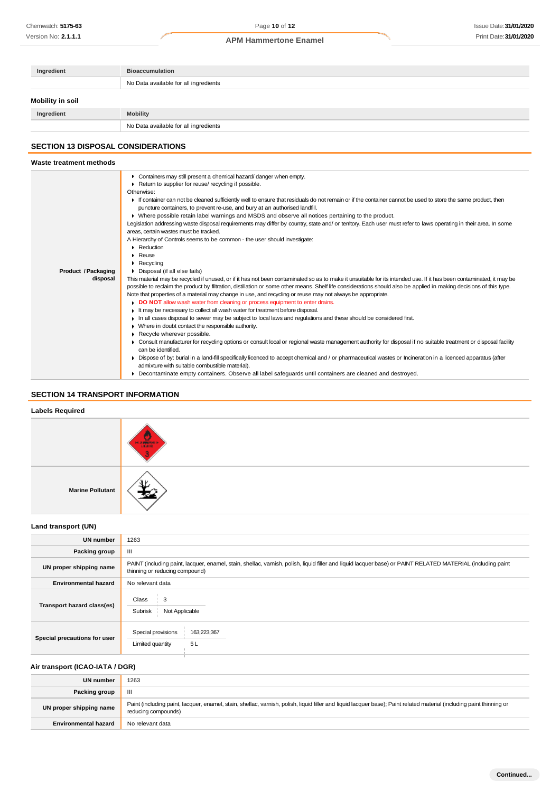| Ingredient       | <b>Bioaccumulation</b>                |  |  |
|------------------|---------------------------------------|--|--|
|                  | No Data available for all ingredients |  |  |
| Mobility in soil |                                       |  |  |
| Ingredient       | <b>Mobility</b>                       |  |  |
|                  | No Data available for all ingredients |  |  |

# **SECTION 13 DISPOSAL CONSIDERATIONS**

| Waste treatment methods         |                                                                                                                                                                                                                                                                                                                                                                                                                                                                                                                                                                                                                                                                                                                                                                                                                                                                                                                                                                                                                                                                                                                                                                                                                                                                                                                                                                                                                                                                                                                                                                                                                                                                                                                                                                                                                                                                                                                                                                                                                                                                                                                                                                                                                                                                                                |
|---------------------------------|------------------------------------------------------------------------------------------------------------------------------------------------------------------------------------------------------------------------------------------------------------------------------------------------------------------------------------------------------------------------------------------------------------------------------------------------------------------------------------------------------------------------------------------------------------------------------------------------------------------------------------------------------------------------------------------------------------------------------------------------------------------------------------------------------------------------------------------------------------------------------------------------------------------------------------------------------------------------------------------------------------------------------------------------------------------------------------------------------------------------------------------------------------------------------------------------------------------------------------------------------------------------------------------------------------------------------------------------------------------------------------------------------------------------------------------------------------------------------------------------------------------------------------------------------------------------------------------------------------------------------------------------------------------------------------------------------------------------------------------------------------------------------------------------------------------------------------------------------------------------------------------------------------------------------------------------------------------------------------------------------------------------------------------------------------------------------------------------------------------------------------------------------------------------------------------------------------------------------------------------------------------------------------------------|
| Product / Packaging<br>disposal | Containers may still present a chemical hazard/danger when empty.<br>▶ Return to supplier for reuse/ recycling if possible.<br>Otherwise:<br>If container can not be cleaned sufficiently well to ensure that residuals do not remain or if the container cannot be used to store the same product, then<br>puncture containers, to prevent re-use, and bury at an authorised landfill.<br>▶ Where possible retain label warnings and MSDS and observe all notices pertaining to the product.<br>Legislation addressing waste disposal requirements may differ by country, state and/ or territory. Each user must refer to laws operating in their area. In some<br>areas, certain wastes must be tracked.<br>A Hierarchy of Controls seems to be common - the user should investigate:<br>$\blacktriangleright$ Reduction<br>$\blacktriangleright$ Reuse<br>$\blacktriangleright$ Recycling<br>• Disposal (if all else fails)<br>This material may be recycled if unused, or if it has not been contaminated so as to make it unsuitable for its intended use. If it has been contaminated, it may be<br>possible to reclaim the product by filtration, distillation or some other means. Shelf life considerations should also be applied in making decisions of this type.<br>Note that properties of a material may change in use, and recycling or reuse may not always be appropriate.<br>DO NOT allow wash water from cleaning or process equipment to enter drains.<br>It may be necessary to collect all wash water for treatment before disposal.<br>In all cases disposal to sewer may be subject to local laws and regulations and these should be considered first.<br>• Where in doubt contact the responsible authority.<br>Recycle wherever possible.<br>• Consult manufacturer for recycling options or consult local or regional waste management authority for disposal if no suitable treatment or disposal facility<br>can be identified.<br>Dispose of by: burial in a land-fill specifically licenced to accept chemical and / or pharmaceutical wastes or Incineration in a licenced apparatus (after<br>admixture with suitable combustible material).<br>• Decontaminate empty containers. Observe all label safequards until containers are cleaned and destroyed. |
|                                 |                                                                                                                                                                                                                                                                                                                                                                                                                                                                                                                                                                                                                                                                                                                                                                                                                                                                                                                                                                                                                                                                                                                                                                                                                                                                                                                                                                                                                                                                                                                                                                                                                                                                                                                                                                                                                                                                                                                                                                                                                                                                                                                                                                                                                                                                                                |

# **SECTION 14 TRANSPORT INFORMATION**

#### **Labels Required**

|                         | <b>HANGER</b> |
|-------------------------|---------------|
| <b>Marine Pollutant</b> |               |

### **Land transport (UN)**

| <b>UN number</b>             | 1263                                                                                                                                                                                          |  |  |
|------------------------------|-----------------------------------------------------------------------------------------------------------------------------------------------------------------------------------------------|--|--|
| Packing group                | Ш                                                                                                                                                                                             |  |  |
| UN proper shipping name      | PAINT (including paint, lacquer, enamel, stain, shellac, varnish, polish, liquid filler and liquid lacquer base) or PAINT RELATED MATERIAL (including paint<br>thinning or reducing compound) |  |  |
| <b>Environmental hazard</b>  | No relevant data                                                                                                                                                                              |  |  |
| Transport hazard class(es)   | Class<br>$\frac{1}{2}$ 3<br>Subrisk<br>Not Applicable                                                                                                                                         |  |  |
| Special precautions for user | Special provisions<br>163;223;367<br>5L<br>Limited quantity                                                                                                                                   |  |  |

# **Air transport (ICAO-IATA / DGR)**

| UN number                   | 1263                                                                                                                                                                                         |
|-----------------------------|----------------------------------------------------------------------------------------------------------------------------------------------------------------------------------------------|
| Packing group               |                                                                                                                                                                                              |
| UN proper shipping name     | Paint (including paint, lacquer, enamel, stain, shellac, varnish, polish, liquid filler and liquid lacquer base); Paint related material (including paint thinning or<br>reducing compounds) |
| <b>Environmental hazard</b> | No relevant data                                                                                                                                                                             |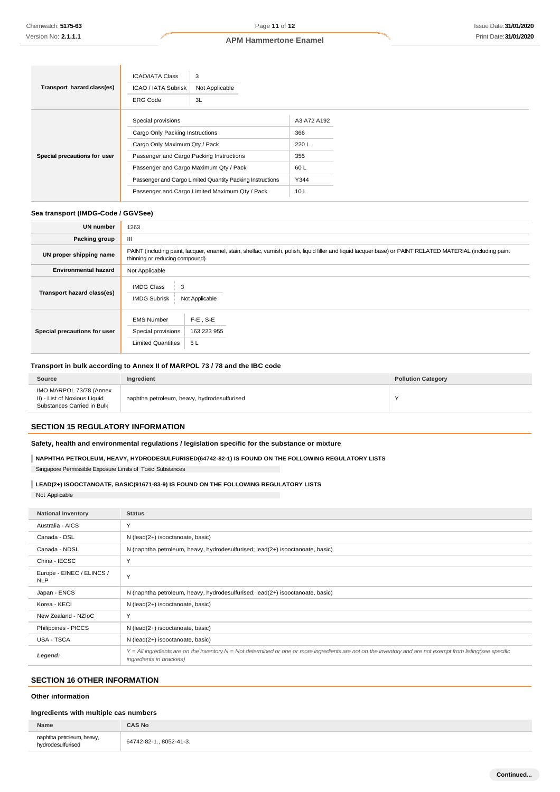|                              | <b>ICAO/IATA Class</b>                                    | 3              |             |  |
|------------------------------|-----------------------------------------------------------|----------------|-------------|--|
| Transport hazard class(es)   | ICAO / IATA Subrisk                                       | Not Applicable |             |  |
|                              | <b>ERG Code</b>                                           | 3L             |             |  |
|                              |                                                           |                |             |  |
|                              | Special provisions                                        |                | A3 A72 A192 |  |
| Special precautions for user | Cargo Only Packing Instructions                           |                | 366         |  |
|                              | Cargo Only Maximum Qty / Pack                             |                | 220L        |  |
|                              | Passenger and Cargo Packing Instructions                  |                | 355         |  |
|                              | Passenger and Cargo Maximum Qty / Pack                    |                | 60L         |  |
|                              | Passenger and Cargo Limited Quantity Packing Instructions |                | Y344        |  |
|                              | Passenger and Cargo Limited Maximum Qty / Pack            |                | 10 L        |  |
|                              |                                                           |                |             |  |

#### **Sea transport (IMDG-Code / GGVSee)**

| <b>UN number</b>             | 1263                                                                                                                                                                                          |  |  |
|------------------------------|-----------------------------------------------------------------------------------------------------------------------------------------------------------------------------------------------|--|--|
| Packing group                | Ш                                                                                                                                                                                             |  |  |
| UN proper shipping name      | PAINT (including paint, lacquer, enamel, stain, shellac, varnish, polish, liquid filler and liquid lacquer base) or PAINT RELATED MATERIAL (including paint<br>thinning or reducing compound) |  |  |
| <b>Environmental hazard</b>  | Not Applicable                                                                                                                                                                                |  |  |
| Transport hazard class(es)   | <b>IMDG Class</b><br>3<br><b>IMDG Subrisk</b><br>Not Applicable                                                                                                                               |  |  |
| Special precautions for user | $F-E$ , S-E<br><b>EMS Number</b><br>Special provisions<br>163 223 955<br><b>Limited Quantities</b><br>5 L                                                                                     |  |  |

# **Transport in bulk according to Annex II of MARPOL 73 / 78 and the IBC code**

| Source                                                                                | Ingredient                                  | <b>Pollution Category</b> |
|---------------------------------------------------------------------------------------|---------------------------------------------|---------------------------|
| IMO MARPOL 73/78 (Annex<br>II) - List of Noxious Liquid<br>Substances Carried in Bulk | naphtha petroleum, heavy, hydrodesulfurised |                           |

# **SECTION 15 REGULATORY INFORMATION**

#### **Safety, health and environmental regulations / legislation specific for the substance or mixture**

**NAPHTHA PETROLEUM, HEAVY, HYDRODESULFURISED(64742-82-1) IS FOUND ON THE FOLLOWING REGULATORY LISTS**

Singapore Permissible Exposure Limits of Toxic Substances

# **LEAD(2+) ISOOCTANOATE, BASIC(91671-83-9) IS FOUND ON THE FOLLOWING REGULATORY LISTS**

Not Applicable

| <b>National Inventory</b>               | <b>Status</b>                                                                                                                                                                                |  |
|-----------------------------------------|----------------------------------------------------------------------------------------------------------------------------------------------------------------------------------------------|--|
| Australia - AICS                        | Y                                                                                                                                                                                            |  |
| Canada - DSL                            | N (lead(2+) isooctanoate, basic)                                                                                                                                                             |  |
| Canada - NDSL                           | N (naphtha petroleum, heavy, hydrodesulfurised; lead(2+) isooctanoate, basic)                                                                                                                |  |
| China - IECSC                           | Y                                                                                                                                                                                            |  |
| Europe - EINEC / ELINCS /<br><b>NLP</b> | Y                                                                                                                                                                                            |  |
| Japan - ENCS                            | N (naphtha petroleum, heavy, hydrodesulfurised; lead(2+) isooctanoate, basic)                                                                                                                |  |
| Korea - KECI                            | N (lead(2+) isooctanoate, basic)                                                                                                                                                             |  |
| New Zealand - NZIoC                     | Y                                                                                                                                                                                            |  |
| Philippines - PICCS                     | N (lead(2+) isooctanoate, basic)                                                                                                                                                             |  |
| <b>USA - TSCA</b>                       | N (lead(2+) isooctanoate, basic)                                                                                                                                                             |  |
| Legend:                                 | $Y = All$ ingredients are on the inventory $N = Not$ determined or one or more ingredients are not on the inventory and are not exempt from listing(see specific<br>ingredients in brackets) |  |

# **SECTION 16 OTHER INFORMATION**

#### **Other information**

#### **Ingredients with multiple cas numbers**

| Name                                           | <b>CAS No</b>           |
|------------------------------------------------|-------------------------|
| naphtha petroleum, heavy,<br>hydrodesulfurised | 64742-82-1., 8052-41-3. |